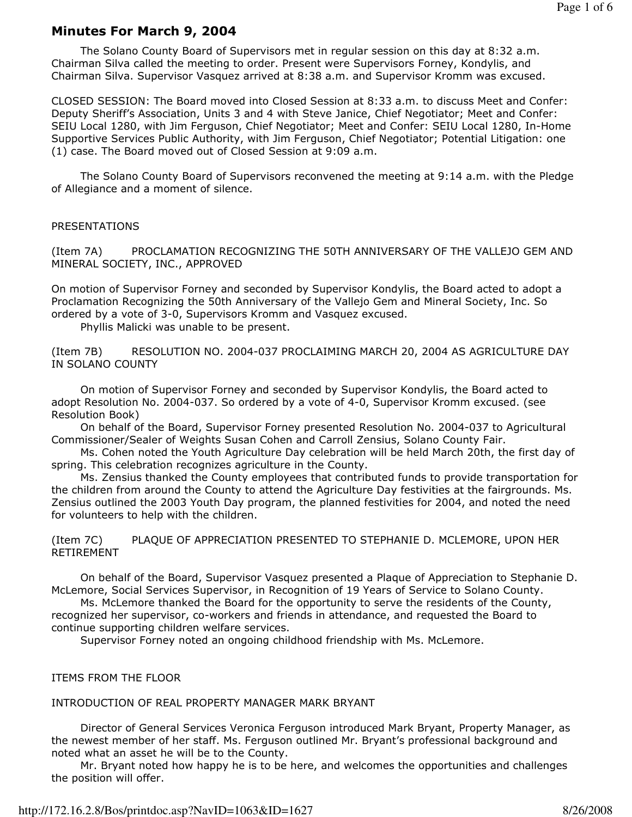# Minutes For March 9, 2004

 The Solano County Board of Supervisors met in regular session on this day at 8:32 a.m. Chairman Silva called the meeting to order. Present were Supervisors Forney, Kondylis, and Chairman Silva. Supervisor Vasquez arrived at 8:38 a.m. and Supervisor Kromm was excused.

CLOSED SESSION: The Board moved into Closed Session at 8:33 a.m. to discuss Meet and Confer: Deputy Sheriff's Association, Units 3 and 4 with Steve Janice, Chief Negotiator; Meet and Confer: SEIU Local 1280, with Jim Ferguson, Chief Negotiator; Meet and Confer: SEIU Local 1280, In-Home Supportive Services Public Authority, with Jim Ferguson, Chief Negotiator; Potential Litigation: one (1) case. The Board moved out of Closed Session at 9:09 a.m.

 The Solano County Board of Supervisors reconvened the meeting at 9:14 a.m. with the Pledge of Allegiance and a moment of silence.

#### PRESENTATIONS

(Item 7A) PROCLAMATION RECOGNIZING THE 50TH ANNIVERSARY OF THE VALLEJO GEM AND MINERAL SOCIETY, INC., APPROVED

On motion of Supervisor Forney and seconded by Supervisor Kondylis, the Board acted to adopt a Proclamation Recognizing the 50th Anniversary of the Vallejo Gem and Mineral Society, Inc. So ordered by a vote of 3-0, Supervisors Kromm and Vasquez excused.

Phyllis Malicki was unable to be present.

(Item 7B) RESOLUTION NO. 2004-037 PROCLAIMING MARCH 20, 2004 AS AGRICULTURE DAY IN SOLANO COUNTY

 On motion of Supervisor Forney and seconded by Supervisor Kondylis, the Board acted to adopt Resolution No. 2004-037. So ordered by a vote of 4-0, Supervisor Kromm excused. (see Resolution Book)

 On behalf of the Board, Supervisor Forney presented Resolution No. 2004-037 to Agricultural Commissioner/Sealer of Weights Susan Cohen and Carroll Zensius, Solano County Fair.

 Ms. Cohen noted the Youth Agriculture Day celebration will be held March 20th, the first day of spring. This celebration recognizes agriculture in the County.

 Ms. Zensius thanked the County employees that contributed funds to provide transportation for the children from around the County to attend the Agriculture Day festivities at the fairgrounds. Ms. Zensius outlined the 2003 Youth Day program, the planned festivities for 2004, and noted the need for volunteers to help with the children.

(Item 7C) PLAQUE OF APPRECIATION PRESENTED TO STEPHANIE D. MCLEMORE, UPON HER RETIREMENT

 On behalf of the Board, Supervisor Vasquez presented a Plaque of Appreciation to Stephanie D. McLemore, Social Services Supervisor, in Recognition of 19 Years of Service to Solano County.

 Ms. McLemore thanked the Board for the opportunity to serve the residents of the County, recognized her supervisor, co-workers and friends in attendance, and requested the Board to continue supporting children welfare services.

Supervisor Forney noted an ongoing childhood friendship with Ms. McLemore.

ITEMS FROM THE FLOOR

INTRODUCTION OF REAL PROPERTY MANAGER MARK BRYANT

 Director of General Services Veronica Ferguson introduced Mark Bryant, Property Manager, as the newest member of her staff. Ms. Ferguson outlined Mr. Bryant's professional background and noted what an asset he will be to the County.

 Mr. Bryant noted how happy he is to be here, and welcomes the opportunities and challenges the position will offer.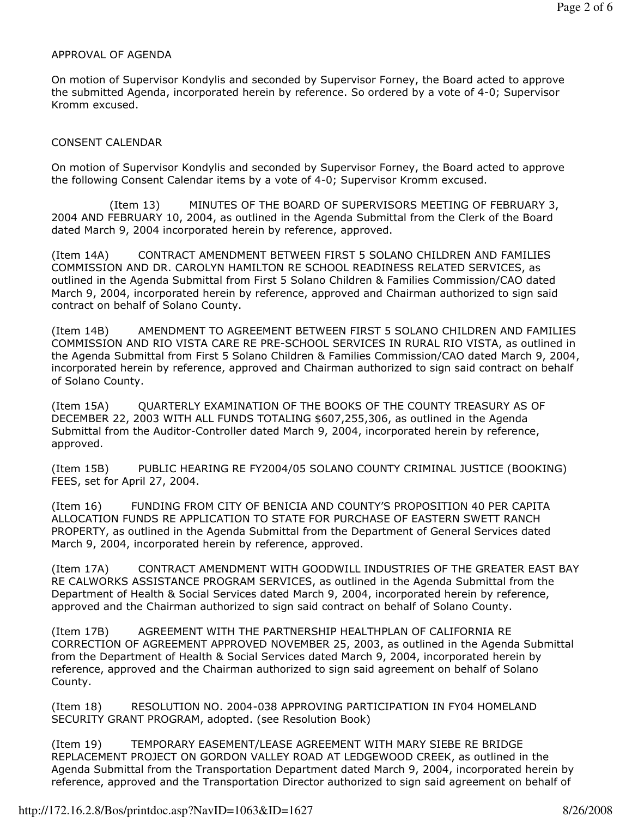#### APPROVAL OF AGENDA

On motion of Supervisor Kondylis and seconded by Supervisor Forney, the Board acted to approve the submitted Agenda, incorporated herein by reference. So ordered by a vote of 4-0; Supervisor Kromm excused.

### CONSENT CALENDAR

On motion of Supervisor Kondylis and seconded by Supervisor Forney, the Board acted to approve the following Consent Calendar items by a vote of 4-0; Supervisor Kromm excused.

 (Item 13) MINUTES OF THE BOARD OF SUPERVISORS MEETING OF FEBRUARY 3, 2004 AND FEBRUARY 10, 2004, as outlined in the Agenda Submittal from the Clerk of the Board dated March 9, 2004 incorporated herein by reference, approved.

(Item 14A) CONTRACT AMENDMENT BETWEEN FIRST 5 SOLANO CHILDREN AND FAMILIES COMMISSION AND DR. CAROLYN HAMILTON RE SCHOOL READINESS RELATED SERVICES, as outlined in the Agenda Submittal from First 5 Solano Children & Families Commission/CAO dated March 9, 2004, incorporated herein by reference, approved and Chairman authorized to sign said contract on behalf of Solano County.

(Item 14B) AMENDMENT TO AGREEMENT BETWEEN FIRST 5 SOLANO CHILDREN AND FAMILIES COMMISSION AND RIO VISTA CARE RE PRE-SCHOOL SERVICES IN RURAL RIO VISTA, as outlined in the Agenda Submittal from First 5 Solano Children & Families Commission/CAO dated March 9, 2004, incorporated herein by reference, approved and Chairman authorized to sign said contract on behalf of Solano County.

(Item 15A) QUARTERLY EXAMINATION OF THE BOOKS OF THE COUNTY TREASURY AS OF DECEMBER 22, 2003 WITH ALL FUNDS TOTALING \$607,255,306, as outlined in the Agenda Submittal from the Auditor-Controller dated March 9, 2004, incorporated herein by reference, approved.

(Item 15B) PUBLIC HEARING RE FY2004/05 SOLANO COUNTY CRIMINAL JUSTICE (BOOKING) FEES, set for April 27, 2004.

(Item 16) FUNDING FROM CITY OF BENICIA AND COUNTY'S PROPOSITION 40 PER CAPITA ALLOCATION FUNDS RE APPLICATION TO STATE FOR PURCHASE OF EASTERN SWETT RANCH PROPERTY, as outlined in the Agenda Submittal from the Department of General Services dated March 9, 2004, incorporated herein by reference, approved.

(Item 17A) CONTRACT AMENDMENT WITH GOODWILL INDUSTRIES OF THE GREATER EAST BAY RE CALWORKS ASSISTANCE PROGRAM SERVICES, as outlined in the Agenda Submittal from the Department of Health & Social Services dated March 9, 2004, incorporated herein by reference, approved and the Chairman authorized to sign said contract on behalf of Solano County.

(Item 17B) AGREEMENT WITH THE PARTNERSHIP HEALTHPLAN OF CALIFORNIA RE CORRECTION OF AGREEMENT APPROVED NOVEMBER 25, 2003, as outlined in the Agenda Submittal from the Department of Health & Social Services dated March 9, 2004, incorporated herein by reference, approved and the Chairman authorized to sign said agreement on behalf of Solano County.

(Item 18) RESOLUTION NO. 2004-038 APPROVING PARTICIPATION IN FY04 HOMELAND SECURITY GRANT PROGRAM, adopted. (see Resolution Book)

(Item 19) TEMPORARY EASEMENT/LEASE AGREEMENT WITH MARY SIEBE RE BRIDGE REPLACEMENT PROJECT ON GORDON VALLEY ROAD AT LEDGEWOOD CREEK, as outlined in the Agenda Submittal from the Transportation Department dated March 9, 2004, incorporated herein by reference, approved and the Transportation Director authorized to sign said agreement on behalf of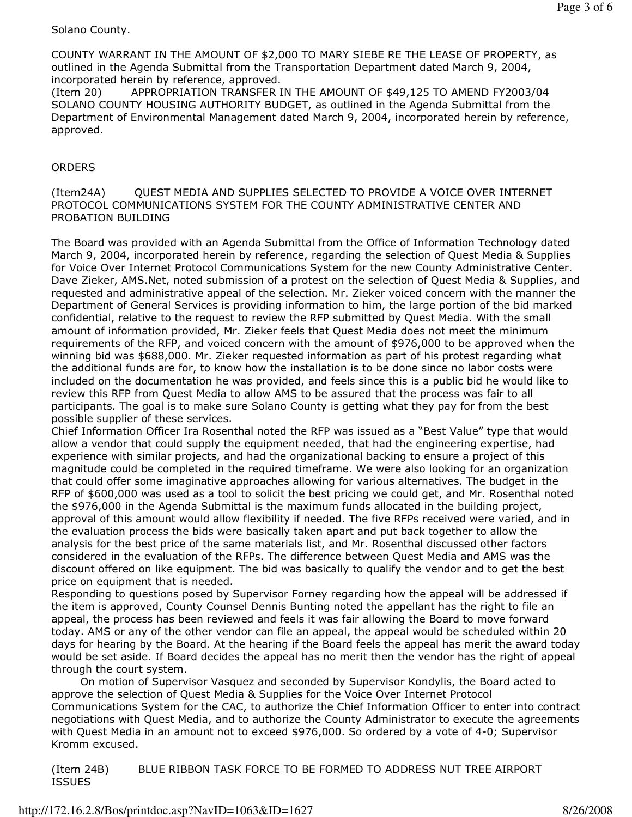### Solano County.

COUNTY WARRANT IN THE AMOUNT OF \$2,000 TO MARY SIEBE RE THE LEASE OF PROPERTY, as outlined in the Agenda Submittal from the Transportation Department dated March 9, 2004, incorporated herein by reference, approved.

(Item 20) APPROPRIATION TRANSFER IN THE AMOUNT OF \$49,125 TO AMEND FY2003/04 SOLANO COUNTY HOUSING AUTHORITY BUDGET, as outlined in the Agenda Submittal from the Department of Environmental Management dated March 9, 2004, incorporated herein by reference, approved.

## **ORDERS**

### (Item24A) QUEST MEDIA AND SUPPLIES SELECTED TO PROVIDE A VOICE OVER INTERNET PROTOCOL COMMUNICATIONS SYSTEM FOR THE COUNTY ADMINISTRATIVE CENTER AND PROBATION BUILDING

The Board was provided with an Agenda Submittal from the Office of Information Technology dated March 9, 2004, incorporated herein by reference, regarding the selection of Quest Media & Supplies for Voice Over Internet Protocol Communications System for the new County Administrative Center. Dave Zieker, AMS.Net, noted submission of a protest on the selection of Quest Media & Supplies, and requested and administrative appeal of the selection. Mr. Zieker voiced concern with the manner the Department of General Services is providing information to him, the large portion of the bid marked confidential, relative to the request to review the RFP submitted by Quest Media. With the small amount of information provided, Mr. Zieker feels that Quest Media does not meet the minimum requirements of the RFP, and voiced concern with the amount of \$976,000 to be approved when the winning bid was \$688,000. Mr. Zieker requested information as part of his protest regarding what the additional funds are for, to know how the installation is to be done since no labor costs were included on the documentation he was provided, and feels since this is a public bid he would like to review this RFP from Quest Media to allow AMS to be assured that the process was fair to all participants. The goal is to make sure Solano County is getting what they pay for from the best possible supplier of these services.

Chief Information Officer Ira Rosenthal noted the RFP was issued as a "Best Value" type that would allow a vendor that could supply the equipment needed, that had the engineering expertise, had experience with similar projects, and had the organizational backing to ensure a project of this magnitude could be completed in the required timeframe. We were also looking for an organization that could offer some imaginative approaches allowing for various alternatives. The budget in the RFP of \$600,000 was used as a tool to solicit the best pricing we could get, and Mr. Rosenthal noted the \$976,000 in the Agenda Submittal is the maximum funds allocated in the building project, approval of this amount would allow flexibility if needed. The five RFPs received were varied, and in the evaluation process the bids were basically taken apart and put back together to allow the analysis for the best price of the same materials list, and Mr. Rosenthal discussed other factors considered in the evaluation of the RFPs. The difference between Quest Media and AMS was the discount offered on like equipment. The bid was basically to qualify the vendor and to get the best price on equipment that is needed.

Responding to questions posed by Supervisor Forney regarding how the appeal will be addressed if the item is approved, County Counsel Dennis Bunting noted the appellant has the right to file an appeal, the process has been reviewed and feels it was fair allowing the Board to move forward today. AMS or any of the other vendor can file an appeal, the appeal would be scheduled within 20 days for hearing by the Board. At the hearing if the Board feels the appeal has merit the award today would be set aside. If Board decides the appeal has no merit then the vendor has the right of appeal through the court system.

 On motion of Supervisor Vasquez and seconded by Supervisor Kondylis, the Board acted to approve the selection of Quest Media & Supplies for the Voice Over Internet Protocol Communications System for the CAC, to authorize the Chief Information Officer to enter into contract negotiations with Quest Media, and to authorize the County Administrator to execute the agreements with Quest Media in an amount not to exceed \$976,000. So ordered by a vote of 4-0; Supervisor Kromm excused.

(Item 24B) BLUE RIBBON TASK FORCE TO BE FORMED TO ADDRESS NUT TREE AIRPORT ISSUES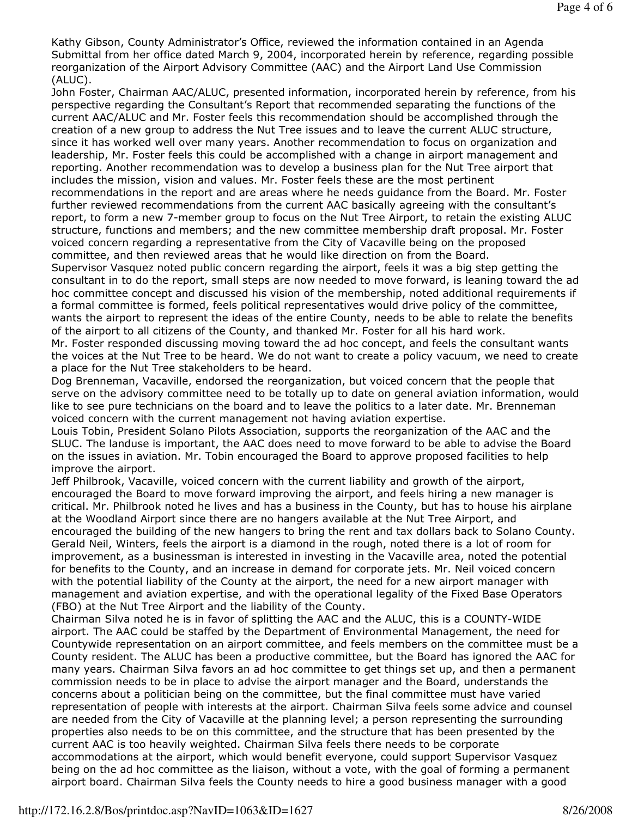Kathy Gibson, County Administrator's Office, reviewed the information contained in an Agenda Submittal from her office dated March 9, 2004, incorporated herein by reference, regarding possible reorganization of the Airport Advisory Committee (AAC) and the Airport Land Use Commission (ALUC).

John Foster, Chairman AAC/ALUC, presented information, incorporated herein by reference, from his perspective regarding the Consultant's Report that recommended separating the functions of the current AAC/ALUC and Mr. Foster feels this recommendation should be accomplished through the creation of a new group to address the Nut Tree issues and to leave the current ALUC structure, since it has worked well over many years. Another recommendation to focus on organization and leadership, Mr. Foster feels this could be accomplished with a change in airport management and reporting. Another recommendation was to develop a business plan for the Nut Tree airport that includes the mission, vision and values. Mr. Foster feels these are the most pertinent recommendations in the report and are areas where he needs guidance from the Board. Mr. Foster further reviewed recommendations from the current AAC basically agreeing with the consultant's report, to form a new 7-member group to focus on the Nut Tree Airport, to retain the existing ALUC structure, functions and members; and the new committee membership draft proposal. Mr. Foster voiced concern regarding a representative from the City of Vacaville being on the proposed committee, and then reviewed areas that he would like direction on from the Board.

Supervisor Vasquez noted public concern regarding the airport, feels it was a big step getting the consultant in to do the report, small steps are now needed to move forward, is leaning toward the ad hoc committee concept and discussed his vision of the membership, noted additional requirements if a formal committee is formed, feels political representatives would drive policy of the committee, wants the airport to represent the ideas of the entire County, needs to be able to relate the benefits of the airport to all citizens of the County, and thanked Mr. Foster for all his hard work.

Mr. Foster responded discussing moving toward the ad hoc concept, and feels the consultant wants the voices at the Nut Tree to be heard. We do not want to create a policy vacuum, we need to create a place for the Nut Tree stakeholders to be heard.

Dog Brenneman, Vacaville, endorsed the reorganization, but voiced concern that the people that serve on the advisory committee need to be totally up to date on general aviation information, would like to see pure technicians on the board and to leave the politics to a later date. Mr. Brenneman voiced concern with the current management not having aviation expertise.

Louis Tobin, President Solano Pilots Association, supports the reorganization of the AAC and the SLUC. The landuse is important, the AAC does need to move forward to be able to advise the Board on the issues in aviation. Mr. Tobin encouraged the Board to approve proposed facilities to help improve the airport.

Jeff Philbrook, Vacaville, voiced concern with the current liability and growth of the airport, encouraged the Board to move forward improving the airport, and feels hiring a new manager is critical. Mr. Philbrook noted he lives and has a business in the County, but has to house his airplane at the Woodland Airport since there are no hangers available at the Nut Tree Airport, and encouraged the building of the new hangers to bring the rent and tax dollars back to Solano County. Gerald Neil, Winters, feels the airport is a diamond in the rough, noted there is a lot of room for improvement, as a businessman is interested in investing in the Vacaville area, noted the potential for benefits to the County, and an increase in demand for corporate jets. Mr. Neil voiced concern with the potential liability of the County at the airport, the need for a new airport manager with management and aviation expertise, and with the operational legality of the Fixed Base Operators (FBO) at the Nut Tree Airport and the liability of the County.

Chairman Silva noted he is in favor of splitting the AAC and the ALUC, this is a COUNTY-WIDE airport. The AAC could be staffed by the Department of Environmental Management, the need for Countywide representation on an airport committee, and feels members on the committee must be a County resident. The ALUC has been a productive committee, but the Board has ignored the AAC for many years. Chairman Silva favors an ad hoc committee to get things set up, and then a permanent commission needs to be in place to advise the airport manager and the Board, understands the concerns about a politician being on the committee, but the final committee must have varied representation of people with interests at the airport. Chairman Silva feels some advice and counsel are needed from the City of Vacaville at the planning level; a person representing the surrounding properties also needs to be on this committee, and the structure that has been presented by the current AAC is too heavily weighted. Chairman Silva feels there needs to be corporate accommodations at the airport, which would benefit everyone, could support Supervisor Vasquez being on the ad hoc committee as the liaison, without a vote, with the goal of forming a permanent airport board. Chairman Silva feels the County needs to hire a good business manager with a good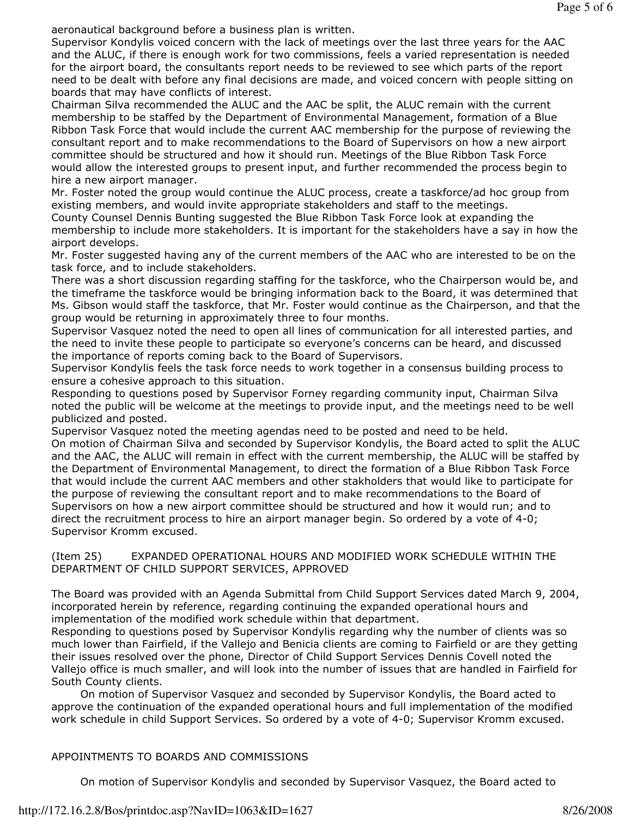aeronautical background before a business plan is written.

Supervisor Kondylis voiced concern with the lack of meetings over the last three years for the AAC and the ALUC, if there is enough work for two commissions, feels a varied representation is needed for the airport board, the consultants report needs to be reviewed to see which parts of the report need to be dealt with before any final decisions are made, and voiced concern with people sitting on boards that may have conflicts of interest.

Chairman Silva recommended the ALUC and the AAC be split, the ALUC remain with the current membership to be staffed by the Department of Environmental Management, formation of a Blue Ribbon Task Force that would include the current AAC membership for the purpose of reviewing the consultant report and to make recommendations to the Board of Supervisors on how a new airport committee should be structured and how it should run. Meetings of the Blue Ribbon Task Force would allow the interested groups to present input, and further recommended the process begin to hire a new airport manager.

Mr. Foster noted the group would continue the ALUC process, create a taskforce/ad hoc group from existing members, and would invite appropriate stakeholders and staff to the meetings.

County Counsel Dennis Bunting suggested the Blue Ribbon Task Force look at expanding the membership to include more stakeholders. It is important for the stakeholders have a say in how the airport develops.

Mr. Foster suggested having any of the current members of the AAC who are interested to be on the task force, and to include stakeholders.

There was a short discussion regarding staffing for the taskforce, who the Chairperson would be, and the timeframe the taskforce would be bringing information back to the Board, it was determined that Ms. Gibson would staff the taskforce, that Mr. Foster would continue as the Chairperson, and that the group would be returning in approximately three to four months.

Supervisor Vasquez noted the need to open all lines of communication for all interested parties, and the need to invite these people to participate so everyone's concerns can be heard, and discussed the importance of reports coming back to the Board of Supervisors.

Supervisor Kondylis feels the task force needs to work together in a consensus building process to ensure a cohesive approach to this situation.

Responding to questions posed by Supervisor Forney regarding community input, Chairman Silva noted the public will be welcome at the meetings to provide input, and the meetings need to be well publicized and posted.

Supervisor Vasquez noted the meeting agendas need to be posted and need to be held.

On motion of Chairman Silva and seconded by Supervisor Kondylis, the Board acted to split the ALUC and the AAC, the ALUC will remain in effect with the current membership, the ALUC will be staffed by the Department of Environmental Management, to direct the formation of a Blue Ribbon Task Force that would include the current AAC members and other stakholders that would like to participate for the purpose of reviewing the consultant report and to make recommendations to the Board of Supervisors on how a new airport committee should be structured and how it would run; and to direct the recruitment process to hire an airport manager begin. So ordered by a vote of 4-0; Supervisor Kromm excused.

(Item 25) EXPANDED OPERATIONAL HOURS AND MODIFIED WORK SCHEDULE WITHIN THE DEPARTMENT OF CHILD SUPPORT SERVICES, APPROVED

The Board was provided with an Agenda Submittal from Child Support Services dated March 9, 2004, incorporated herein by reference, regarding continuing the expanded operational hours and implementation of the modified work schedule within that department.

Responding to questions posed by Supervisor Kondylis regarding why the number of clients was so much lower than Fairfield, if the Vallejo and Benicia clients are coming to Fairfield or are they getting their issues resolved over the phone, Director of Child Support Services Dennis Covell noted the Vallejo office is much smaller, and will look into the number of issues that are handled in Fairfield for South County clients.

 On motion of Supervisor Vasquez and seconded by Supervisor Kondylis, the Board acted to approve the continuation of the expanded operational hours and full implementation of the modified work schedule in child Support Services. So ordered by a vote of 4-0; Supervisor Kromm excused.

### APPOINTMENTS TO BOARDS AND COMMISSIONS

On motion of Supervisor Kondylis and seconded by Supervisor Vasquez, the Board acted to